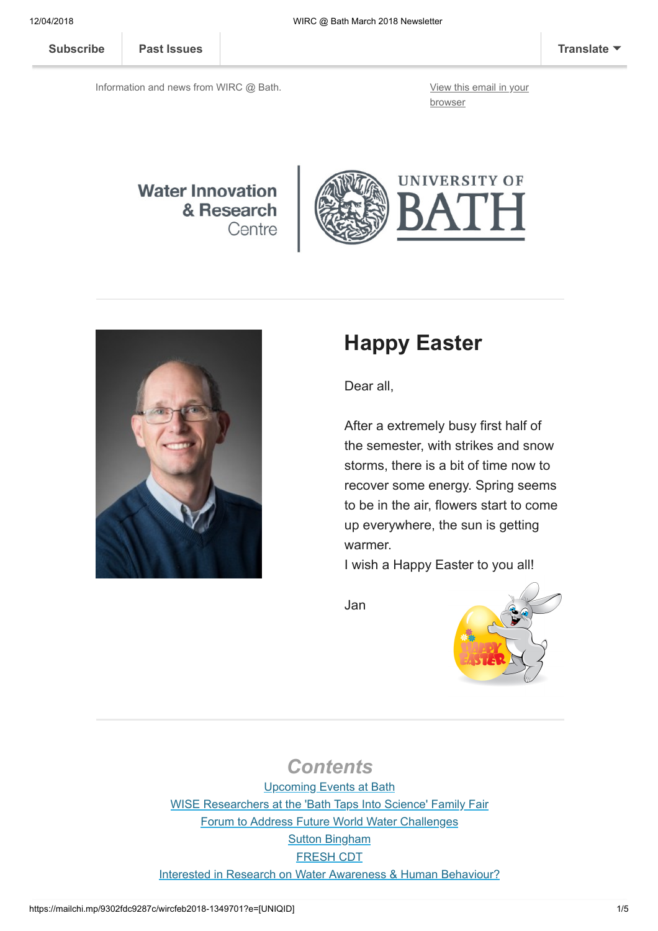[Subscribe](http://eepurl.com/bKjQGL) [Past Issues](https://us12.campaign-archive.com/home/?u=d7614ea34eb388bb6f0caa07a&id=d688d5b543) [Translate](javascript:;)

Information and news from WIRC @ Bath. [View this email in your](https://mailchi.mp/9302fdc9287c/wircfeb2018-1349701?e=[UNIQID])

browser

#### **Water Innovation** & Research Centre





# Happy Easter

Dear all,

After a extremely busy first half of the semester, with strikes and snow storms, there is a bit of time now to recover some energy. Spring seems to be in the air, flowers start to come up everywhere, the sun is getting warmer.

I wish a Happy Easter to you all!

Jan



#### **Contents**

Upcoming Events at Bath [WISE Researchers at the 'Bath Taps Into Science' Family Fair](#page-1-0) [Forum to Address Future World Water Challenges](#page-2-0) **[Sutton Bingham](#page-2-1)** [FRESH CDT](#page-2-2) [Interested in Research on Water Awareness & Human Behaviour?](#page-3-0)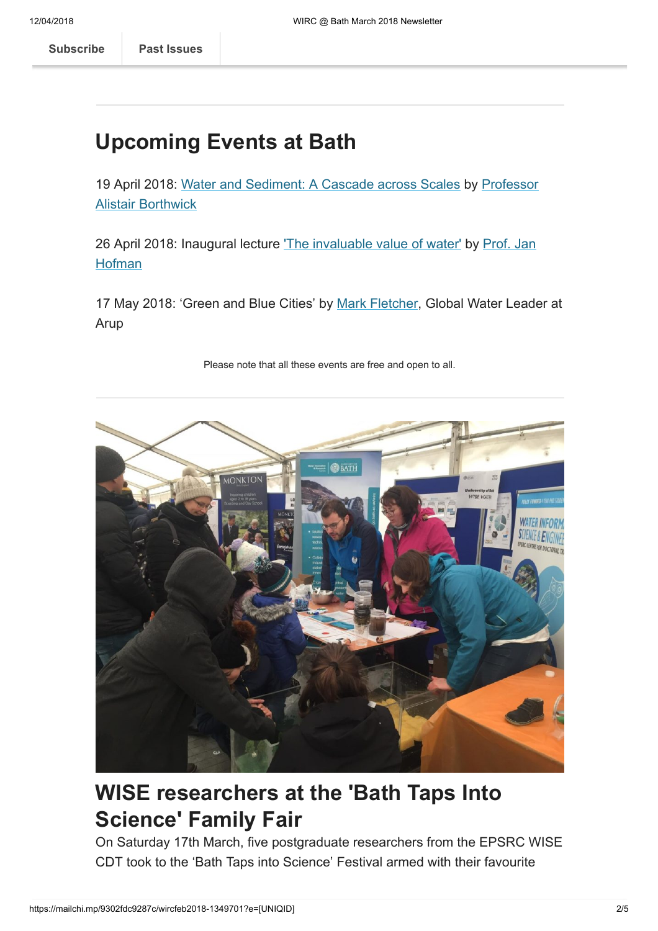# Upcoming Events at Bath

[19 April 2018: Water and Sediment: A Cascade across Scales by Professor](https://www.eng.ed.ac.uk/about/people/prof-alistair-borthwick) Alistair Borthwick

[26 April 2018: Inaugural lecture](http://www.bath.ac.uk/chem-eng/people/hofman/) ['](http://www.bath.ac.uk/research/centres/wirc/events/invaluable-value-of-water.html)[The invaluable value of water](http://www.bath.ac.uk/chem-eng/people/hofman/)['](http://www.bath.ac.uk/research/centres/wirc/events/invaluable-value-of-water.html) [by Prof. Jan](http://www.bath.ac.uk/chem-eng/people/hofman/) **Hofman** 

17 May 2018: 'Green and Blue Cities' by [Mark Fletcher](https://www.arup.com/our-firm/mark-fletcher), Global Water Leader at Arup





## <span id="page-1-0"></span>WISE researchers at the 'Bath Taps Into Science' Family Fair

On Saturday 17th March, five postgraduate researchers from the EPSRC WISE CDT took to the 'Bath Taps into Science' Festival armed with their favourite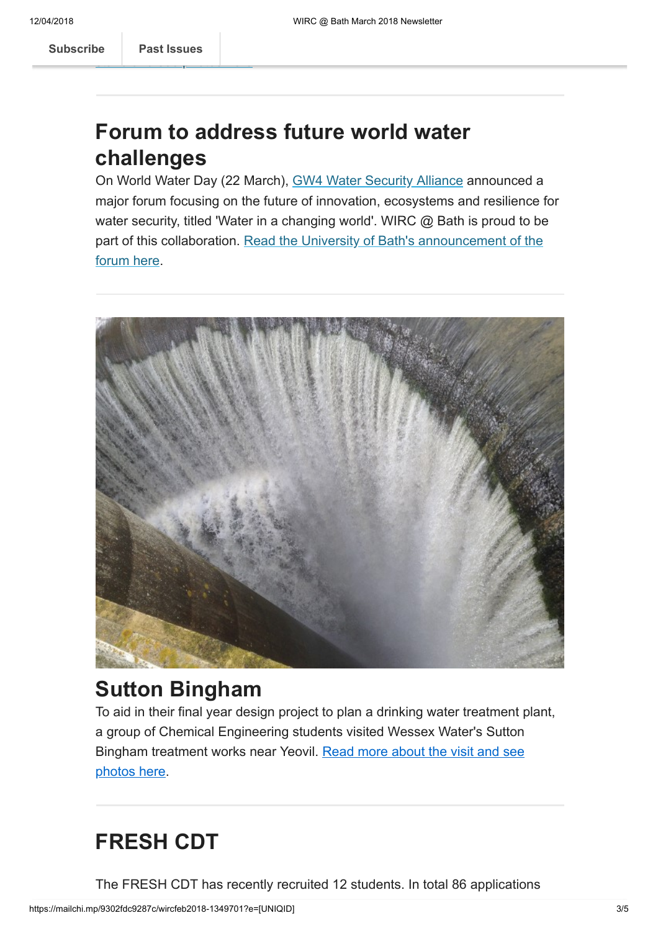[Subscribe](http://eepurl.com/bKjQGL) **Past Issues** 

### <span id="page-2-0"></span>Forum to address future world water challenges

On World Water Day (22 March), [GW4 Water Security Alliance](http://www.gw4water.com/) announced a major forum focusing on the future of innovation, ecosystems and resilience for water security, titled 'Water in a changing world'. WIRC @ Bath is proud to be [part of this collaboration. Read the University of Bath's announcement of the](http://www.bath.ac.uk/announcements/forum-to-address-future-world-water-challenges/) forum here.



#### <span id="page-2-1"></span>Sutton Bingham

To aid in their final year design project to plan a drinking water treatment plant, a group of Chemical Engineering students visited Wessex Water's Sutton [Bingham treatment works near Yeovil. Read more about the visit and see](http://blogs.bath.ac.uk/water/2018/03/26/sutton-bingham/) photos here.

# <span id="page-2-2"></span>FRESH CDT

The FRESH CDT has recently recruited 12 students. In total 86 applications